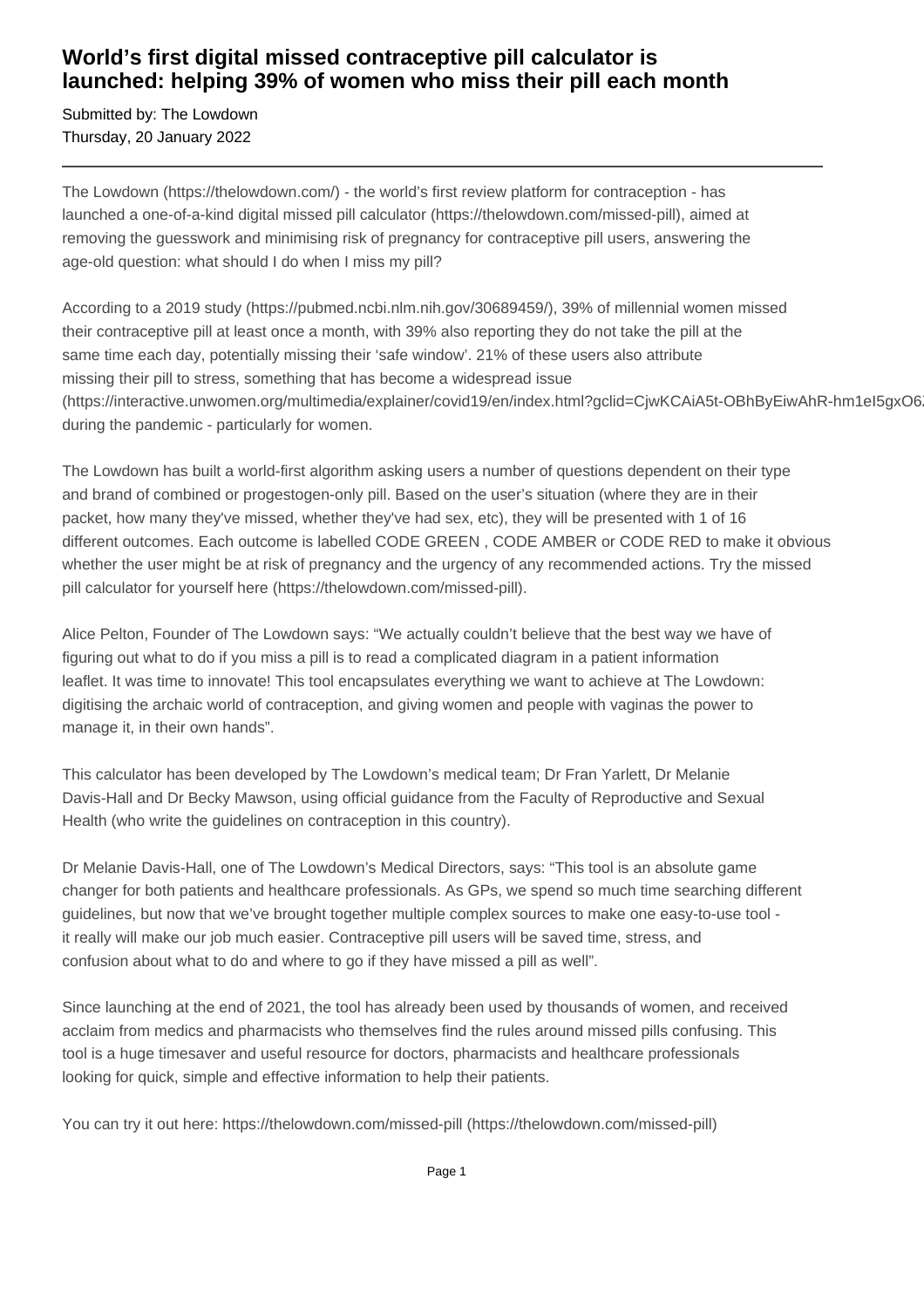## **World's first digital missed contraceptive pill calculator is launched: helping 39% of women who miss their pill each month**

Submitted by: The Lowdown Thursday, 20 January 2022

The Lowdown (https://thelowdown.com/) - the world's first review platform for contraception - has launched a one-of-a-kind digital missed pill calculator (https://thelowdown.com/missed-pill), aimed at removing the guesswork and minimising risk of pregnancy for contraceptive pill users, answering the age-old question: what should I do when I miss my pill?

According to a 2019 study (https://pubmed.ncbi.nlm.nih.gov/30689459/), 39% of millennial women missed their contraceptive pill at least once a month, with 39% also reporting they do not take the pill at the same time each day, potentially missing their 'safe window'. 21% of these users also attribute missing their pill to stress, something that has become a widespread issue (https://interactive.unwomen.org/multimedia/explainer/covid19/en/index.html?gclid=CiwKCAiA5t-OBhByEiwAhR-hm1eI5gxO6 during the pandemic - particularly for women.

The Lowdown has built a world-first algorithm asking users a number of questions dependent on their type and brand of combined or progestogen-only pill. Based on the user's situation (where they are in their packet, how many they've missed, whether they've had sex, etc), they will be presented with 1 of 16 different outcomes. Each outcome is labelled CODE GREEN , CODE AMBER or CODE RED to make it obvious whether the user might be at risk of pregnancy and the urgency of any recommended actions. Try the missed pill calculator for yourself here (https://thelowdown.com/missed-pill).

Alice Pelton, Founder of The Lowdown says: "We actually couldn't believe that the best way we have of figuring out what to do if you miss a pill is to read a complicated diagram in a patient information leaflet. It was time to innovate! This tool encapsulates everything we want to achieve at The Lowdown: digitising the archaic world of contraception, and giving women and people with vaginas the power to manage it, in their own hands".

This calculator has been developed by The Lowdown's medical team; Dr Fran Yarlett, Dr Melanie Davis-Hall and Dr Becky Mawson, using official guidance from the Faculty of Reproductive and Sexual Health (who write the guidelines on contraception in this country).

Dr Melanie Davis-Hall, one of The Lowdown's Medical Directors, says: "This tool is an absolute game changer for both patients and healthcare professionals. As GPs, we spend so much time searching different guidelines, but now that we've brought together multiple complex sources to make one easy-to-use tool it really will make our job much easier. Contraceptive pill users will be saved time, stress, and confusion about what to do and where to go if they have missed a pill as well".

Since launching at the end of 2021, the tool has already been used by thousands of women, and received acclaim from medics and pharmacists who themselves find the rules around missed pills confusing. This tool is a huge timesaver and useful resource for doctors, pharmacists and healthcare professionals looking for quick, simple and effective information to help their patients.

You can try it out here: https://thelowdown.com/missed-pill (https://thelowdown.com/missed-pill)